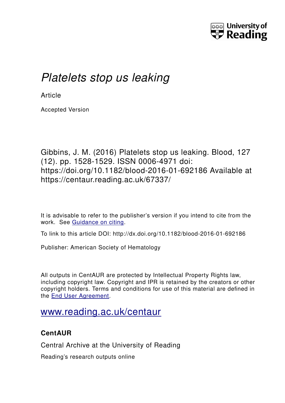

# *Platelets stop us leaking*

**Article** 

Accepted Version

Gibbins, J. M. (2016) Platelets stop us leaking. Blood, 127 (12). pp. 1528-1529. ISSN 0006-4971 doi: https://doi.org/10.1182/blood-2016-01-692186 Available at https://centaur.reading.ac.uk/67337/

It is advisable to refer to the publisher's version if you intend to cite from the work. See [Guidance on citing.](http://centaur.reading.ac.uk/71187/10/CentAUR%20citing%20guide.pdf)

To link to this article DOI: http://dx.doi.org/10.1182/blood-2016-01-692186

Publisher: American Society of Hematology

All outputs in CentAUR are protected by Intellectual Property Rights law, including copyright law. Copyright and IPR is retained by the creators or other copyright holders. Terms and conditions for use of this material are defined in the [End User Agreement.](http://centaur.reading.ac.uk/licence)

## [www.reading.ac.uk/centaur](http://www.reading.ac.uk/centaur)

## **CentAUR**

Central Archive at the University of Reading

Reading's research outputs online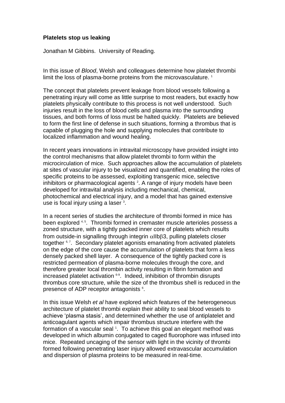#### **Platelets stop us leaking**

Jonathan M Gibbins. University of Reading.

In this issue of *Blood*, Welsh and colleagues determine how platelet thrombi limit the loss of plasma-borne proteins from the microvasculature.<sup>[1](#page-3-0)</sup>

The concept that platelets prevent leakage from blood vessels following a penetrating injury will come as little surprise to most readers, but exactly how platelets physically contribute to this process is not well understood. Such injuries result in the loss of blood cells and plasma into the surrounding tissues, and both forms of loss must be halted quickly. Platelets are believed to form the first line of defense in such situations, forming a thrombus that is capable of plugging the hole and supplying molecules that contribute to localized inflammation and wound healing.

In recent years innovations in intravital microscopy have provided insight into the control mechanisms that allow platelet thrombi to form within the microcirculation of mice. Such approaches allow the accumulation of platelets at sites of vascular injury to be visualized and quantified, enabling the roles of specific proteins to be assessed, exploiting transgenic mice, selective inhibitors or pharmacological agents <sup>2</sup>[.](#page-3-1) A range of injury models have been developed for intravital analysis including mechanical, chemical, photochemical and electrical injury, and a model that has gained extensive use is focal injury using a laser <sup>3</sup>[.](#page-3-2)

In a recent series of studies the architecture of thrombi formed in mice has been explored <sup>[4,](#page-3-3) [5](#page-3-4)</sup>. Thrombi formed in cremaster muscle arterioles possess a zoned structure, with a tightly packed inner core of platelets which results from outside-in signalling through integrin  $\alpha$ IIb $\beta$ 3, pulling platelets closer together <sup>[6,](#page-3-5)7</sup>. Secondary platelet agonists emanating from activated platelets on the edge of the core cause the accumulation of platelets that form a less densely packed shell layer. A consequence of the tightly packed core is restricted permeation of plasma-borne molecules through the core, and therefore greater local thrombin activity resulting in fibrin formation and increased platelet activation <sup>[6-9](#page-3-5)</sup>. Indeed, inhibition of thrombin disrupts thrombus core structure, while the size of the thrombus shell is reduced in the presence of ADP receptor antagonists <sup>6</sup>[.](#page-3-5)

In this issue Welsh *et al* have explored which features of the heterogeneous architecture of platelet thrombi explain their ability to seal blood vessels to achieve 'plasma stasis', and determined whether the use of antiplatelet and anticoagulant agents which impair thrombus structure interfere with the formation of a vascular seal 1[.](#page-3-0) To achieve this goal an elegant method was developed in which albumin conjugated to caged fluorophore was infused into mice. Repeated uncaging of the sensor with light in the vicinity of thrombi formed following penetrating laser injury allowed extravascular accumulation and dispersion of plasma proteins to be measured in real-time.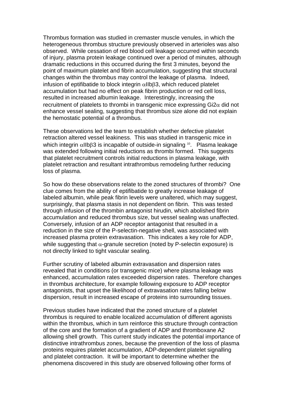Thrombus formation was studied in cremaster muscle venules, in which the heterogeneous thrombus structure previously observed in arterioles was also observed. While cessation of red blood cell leakage occurred within seconds of injury, plasma protein leakage continued over a period of minutes, although dramatic reductions in this occurred during the first 3 minutes, beyond the point of maximum platelet and fibrin accumulation, suggesting that structural changes within the thrombus may control the leakage of plasma. Indeed, infusion of eptifibatide to block integrin  $\alpha$ IIb $\beta$ 3, which reduced platelet accumulation but had no effect on peak fibrin production or red cell loss, resulted in increased albumin leakage. Interestingly, increasing the recruitment of platelets to thrombi in transgenic mice expressing  $Gi2\alpha$  did not enhance vessel sealing, suggesting that thrombus size alone did not explain the hemostatic potential of a thrombus.

These observations led the team to establish whether defective platelet retraction altered vessel leakiness. This was studied in transgenic mice in which integrin  $\alpha$ IIb $\beta$ 3 is incapable of outside-in signaling <sup>[10](#page-4-0)</sup>. Plasma leakage was extended following initial reductions as thrombi formed. This suggests that platelet recruitment controls initial reductions in plasma leakage, with platelet retraction and resultant intrathrombus remodeling further reducing loss of plasma.

So how do these observations relate to the zoned structures of thrombi? One clue comes from the ability of eptifibatide to greatly increase leakage of labeled albumin, while peak fibrin levels were unaltered, which may suggest, surprisingly, that plasma stasis in not dependent on fibrin. This was tested through infusion of the thrombin antagonist hirudin, which abolished fibrin accumulation and reduced thrombus size, but vessel sealing was unaffected. Conversely, infusion of an ADP receptor antagonist that resulted in a reduction in the size of the P-selectin-negative shell, was associated with increased plasma protein extravasation. This indicates a key role for ADP, while suggesting that  $\alpha$ -granule secretion (noted by P-selectin exposure) is not directly linked to tight vascular sealing.

Further scrutiny of labeled albumin extravasation and dispersion rates revealed that in conditions (or transgenic mice) where plasma leakage was enhanced, accumulation rates exceeded dispersion rates. Therefore changes in thrombus architecture, for example following exposure to ADP receptor antagonists, that upset the likelihood of extravasation rates falling below dispersion, result in increased escape of proteins into surrounding tissues.

Previous studies have indicated that the zoned structure of a platelet thrombus is required to enable localized accumulation of different agonists within the thrombus, which in turn reinforce this structure through contraction of the core and the formation of a gradient of ADP and thromboxane A2 allowing shell growth. This current study indicates the potential importance of distinctive intrathrombus zones, because the prevention of the loss of plasma proteins requires platelet accumulation, ADP-dependent platelet signalling and platelet contraction. It will be important to determine whether the phenomena discovered in this study are observed following other forms of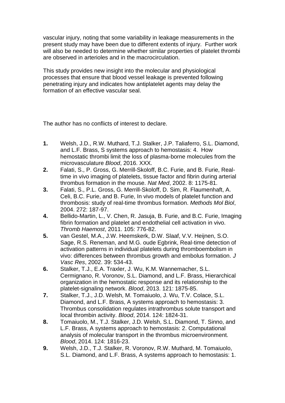vascular injury, noting that some variability in leakage measurements in the present study may have been due to different extents of injury. Further work will also be needed to determine whether similar properties of platelet thrombi are observed in arterioles and in the macrocirculation.

This study provides new insight into the molecular and physiological processes that ensure that blood vessel leakage is prevented following penetrating injury and indicates how antiplatelet agents may delay the formation of an effective vascular seal.

The author has no conflicts of interest to declare.

- <span id="page-3-0"></span>**1.** Welsh, J.D., R.W. Muthard, T.J. Stalker, J.P. Taliaferro, S.L. Diamond, and L.F. Brass, S systems approach to hemostasis: 4. How hemostatic thrombi limit the loss of plasma-borne molecules from the microvasculature *Blood*, 2016. XXX.
- <span id="page-3-1"></span>**2.** Falati, S., P. Gross, G. Merrill-Skoloff, B.C. Furie, and B. Furie, Realtime in vivo imaging of platelets, tissue factor and fibrin during arterial thrombus formation in the mouse. *Nat Med*, 2002. 8: 1175-81.
- <span id="page-3-2"></span>**3.** Falati, S., P.L. Gross, G. Merrill-Skoloff, D. Sim, R. Flaumenhaft, A. Celi, B.C. Furie, and B. Furie, In vivo models of platelet function and thrombosis: study of real-time thrombus formation. *Methods Mol Biol*, 2004. 272: 187-97.
- <span id="page-3-3"></span>**4.** Bellido-Martin, L., V. Chen, R. Jasuja, B. Furie, and B.C. Furie, Imaging fibrin formation and platelet and endothelial cell activation in vivo. *Thromb Haemost*, 2011. 105: 776-82.
- <span id="page-3-4"></span>**5.** van Gestel, M.A., J.W. Heemskerk, D.W. Slaaf, V.V. Heijnen, S.O. Sage, R.S. Reneman, and M.G. oude Egbrink, Real-time detection of activation patterns in individual platelets during thromboembolism in vivo: differences between thrombus growth and embolus formation. *J Vasc Res*, 2002. 39: 534-43.
- <span id="page-3-5"></span>**6.** Stalker, T.J., E.A. Traxler, J. Wu, K.M. Wannemacher, S.L. Cermignano, R. Voronov, S.L. Diamond, and L.F. Brass, Hierarchical organization in the hemostatic response and its relationship to the platelet-signaling network. *Blood*, 2013. 121: 1875-85.
- <span id="page-3-6"></span>**7.** Stalker, T.J., J.D. Welsh, M. Tomaiuolo, J. Wu, T.V. Colace, S.L. Diamond, and L.F. Brass, A systems approach to hemostasis: 3. Thrombus consolidation regulates intrathrombus solute transport and local thrombin activity. *Blood*, 2014. 124: 1824-31.
- **8.** Tomaiuolo, M., T.J. Stalker, J.D. Welsh, S.L. Diamond, T. Sinno, and L.F. Brass, A systems approach to hemostasis: 2. Computational analysis of molecular transport in the thrombus microenvironment. *Blood*, 2014. 124: 1816-23.
- **9.** Welsh, J.D., T.J. Stalker, R. Voronov, R.W. Muthard, M. Tomaiuolo, S.L. Diamond, and L.F. Brass, A systems approach to hemostasis: 1.